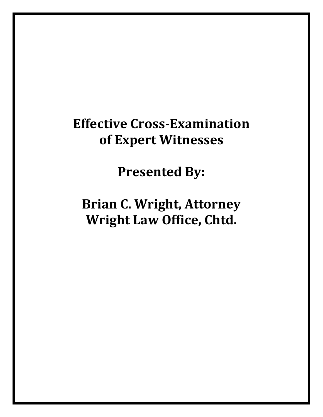# **Effective Cross-Examination of Expert Witnesses**

**Presented By:**

**Brian C. Wright, Attorney Wright Law Office, Chtd.**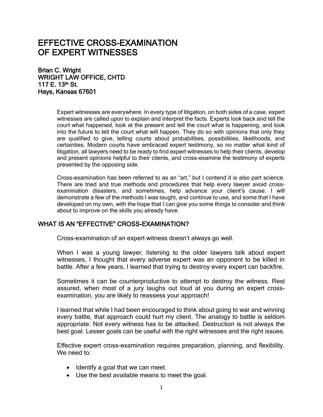# EFFECTIVE CROSS-EXAMINATION OF EXPERT WITNESSES

Brian C. Wright WRIGHT LAW OFFICE, CHTD 117 E. 13<sup>th</sup> St. Hays, Kansas 67601

> Expert witnesses are everywhere. In every type of litigation, on both sides of a case, expert witnesses are called upon to explain and interpret the facts. Experts look back and tell the court what happened, look at the present and tell the court what is happening, and look into the future to tell the court what will happen. They do so with opinions that only they are qualified to give, telling courts about probabilities, possibilities, likelihoods, and certainties. Modern courts have embraced expert testimony, so no matter what kind of litigation, all lawyers need to be ready to find expert witnesses to help their clients, develop and present opinions helpful to their clients, and cross-examine the testimony of experts presented by the opposing side.

> Cross-examination has been referred to as an "art," but I contend it is also part science. There are tried and true methods and procedures that help every lawyer avoid crossexamination disasters, and sometimes, help advance your client's cause. I will demonstrate a few of the methods I was taught, and continue to use, and some that I have developed on my own, with the hope that I can give you some things to consider and think about to improve on the skills you already have.

#### WHAT IS AN "EFFECTIVE" CROSS-EXAMINATION?

Cross-examination of an expert witness doesn't always go well.

When I was a young lawyer, listening to the older lawyers talk about expert witnesses, I thought that every adverse expert was an opponent to be killed in battle. After a few years, I learned that trying to destroy every expert can backfire.

Sometimes it can be counterproductive to attempt to destroy the witness. Rest assured, when most of a jury laughs out loud at you during an expert crossexamination, you are likely to reassess your approach!

I learned that while I had been encouraged to think about going to war and winning every battle, that approach could hurt my client. The analogy to battle is seldom appropriate. Not every witness has to be attacked. Destruction is not always the best goal. Lesser goals can be useful with the right witnesses and the right issues.

Effective expert cross-examination requires preparation, planning, and flexibility. We need to:

- Identify a goal that we can meet.
- Use the best available means to meet the goal.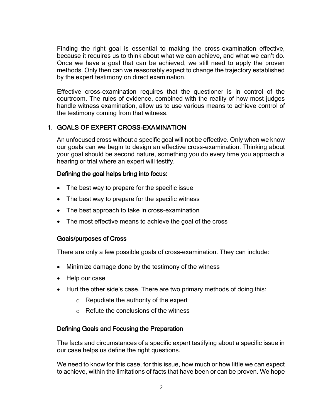Finding the right goal is essential to making the cross-examination effective, because it requires us to think about what we can achieve, and what we can't do. Once we have a goal that can be achieved, we still need to apply the proven methods. Only then can we reasonably expect to change the trajectory established by the expert testimony on direct examination.

Effective cross-examination requires that the questioner is in control of the courtroom. The rules of evidence, combined with the reality of how most judges handle witness examination, allow us to use various means to achieve control of the testimony coming from that witness.

#### 1. GOALS OF EXPERT CROSS-EXAMINATION

An unfocused cross without a specific goal will not be effective. Only when we know our goals can we begin to design an effective cross-examination. Thinking about your goal should be second nature, something you do every time you approach a hearing or trial where an expert will testify.

#### Defining the goal helps bring into focus:

- The best way to prepare for the specific issue
- The best way to prepare for the specific witness
- The best approach to take in cross-examination
- The most effective means to achieve the goal of the cross

#### Goals/purposes of Cross

There are only a few possible goals of cross-examination. They can include:

- Minimize damage done by the testimony of the witness
- Help our case
- Hurt the other side's case. There are two primary methods of doing this:
	- $\circ$  Repudiate the authority of the expert
	- $\circ$  Refute the conclusions of the witness

#### Defining Goals and Focusing the Preparation

The facts and circumstances of a specific expert testifying about a specific issue in our case helps us define the right questions.

We need to know for this case, for this issue, how much or how little we can expect to achieve, within the limitations of facts that have been or can be proven. We hope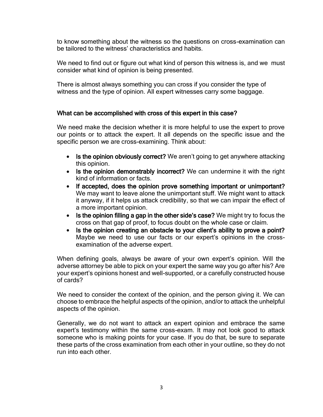to know something about the witness so the questions on cross-examination can be tailored to the witness' characteristics and habits.

We need to find out or figure out what kind of person this witness is, and we must consider what kind of opinion is being presented.

There is almost always something you can cross if you consider the type of witness and the type of opinion. All expert witnesses carry some baggage.

#### What can be accomplished with cross of this expert in this case?

We need make the decision whether it is more helpful to use the expert to prove our points or to attack the expert. It all depends on the specific issue and the specific person we are cross-examining. Think about:

- Is the opinion obviously correct? We aren't going to get anywhere attacking this opinion.
- Is the opinion demonstrably incorrect? We can undermine it with the right kind of information or facts.
- If accepted, does the opinion prove something important or unimportant? We may want to leave alone the unimportant stuff. We might want to attack it anyway, if it helps us attack credibility, so that we can impair the effect of a more important opinion.
- Is the opinion filling a gap in the other side's case? We might try to focus the cross on that gap of proof, to focus doubt on the whole case or claim.
- Is the opinion creating an obstacle to your client's ability to prove a point? Maybe we need to use our facts or our expert's opinions in the crossexamination of the adverse expert.

When defining goals, always be aware of your own expert's opinion. Will the adverse attorney be able to pick on your expert the same way you go after his? Are your expert's opinions honest and well-supported, or a carefully constructed house of cards?

We need to consider the context of the opinion, and the person giving it. We can choose to embrace the helpful aspects of the opinion, and/or to attack the unhelpful aspects of the opinion.

Generally, we do not want to attack an expert opinion and embrace the same expert's testimony within the same cross-exam. It may not look good to attack someone who is making points for your case. If you do that, be sure to separate these parts of the cross examination from each other in your outline, so they do not run into each other.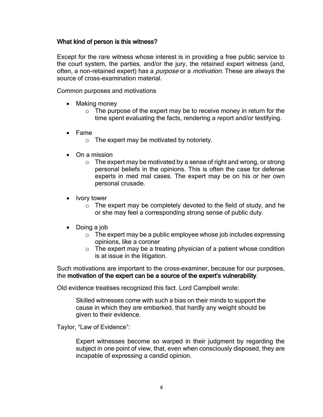#### What kind of person is this witness?

Except for the rare witness whose interest is in providing a free public service to the court system, the parties, and/or the jury, the retained expert witness (and, often, a non-retained expert) has a *purpose* or a *motivation*. These are always the source of cross-examination material.

Common purposes and motivations

- Making money
	- $\circ$  The purpose of the expert may be to receive money in return for the time spent evaluating the facts, rendering a report and/or testifying.
- Fame
	- $\circ$  The expert may be motivated by notoriety.
- On a mission
	- $\circ$  The expert may be motivated by a sense of right and wrong, or strong personal beliefs in the opinions. This is often the case for defense experts in med mal cases. The expert may be on his or her own personal crusade.
- Ivory tower
	- $\circ$  The expert may be completely devoted to the field of study, and he or she may feel a corresponding strong sense of public duty.
- Doing a job
	- $\circ$  The expert may be a public employee whose job includes expressing opinions, like a coroner
	- $\circ$  The expert may be a treating physician of a patient whose condition is at issue in the litigation.

Such motivations are important to the cross-examiner, because for our purposes, the motivation of the expert can be a source of the expert's vulnerability.

Old evidence treatises recognized this fact. Lord Campbell wrote:

Skilled witnesses come with such a bias on their minds to support the cause in which they are embarked, that hardly any weight should be given to their evidence.

Taylor, "Law of Evidence":

Expert witnesses become so warped in their judgment by regarding the subject in one point of view, that, even when consciously disposed, they are incapable of expressing a candid opinion.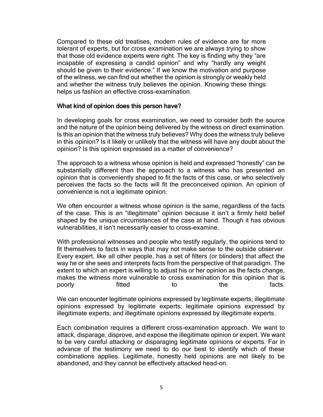Compared to these old treatises, modern rules of evidence are far more tolerant of experts, but for cross examination we are always trying to show that those old evidence experts were right. The key is finding why they "are incapable of expressing a candid opinion" and why "hardly any weight should be given to their evidence." If we know the motivation and purpose of the witness, we can find out whether the opinion is strongly or weakly held and whether the witness truly believes the opinion. Knowing these things helps us fashion an effective cross-examination.

#### What kind of opinion does this person have?

In developing goals for cross examination, we need to consider both the source and the nature of the opinion being delivered by the witness on direct examination. Is this an opinion that the witness truly believes? Why does the witness truly believe in this opinion? Is it likely or unlikely that the witness will have any doubt about the opinion? Is this opinion expressed as a matter of convenience?

The approach to a witness whose opinion is held and expressed "honestly" can be substantially different than the approach to a witness who has presented an opinion that is conveniently shaped to fit the facts of this case, or who selectively perceives the facts so the facts will fit the preconceived opinion. An opinion of convenience is not a legitimate opinion.

We often encounter a witness whose opinion is the same, regardless of the facts of the case. This is an "illegitimate" opinion because it isn't a firmly held belief shaped by the unique circumstances of the case at hand. Though it has obvious vulnerabilities, it isn't necessarily easier to cross-examine.

With professional witnesses and people who testify regularly, the opinions tend to fit themselves to facts in ways that may not make sense to the outside observer. Every expert, like all other people, has a set of filters (or blinders) that affect the way he or she sees and interprets facts from the perspective of that paradigm. The extent to which an expert is willing to adjust his or her opinion as the facts change, makes the witness more vulnerable to cross examination for this opinion that is poorly fitted to to the facts.

We can encounter legitimate opinions expressed by legitimate experts; illegitimate opinions expressed by legitimate experts; legitimate opinions expressed by illegitimate experts; and illegitimate opinions expressed by illegitimate experts.

Each combination requires a different cross-examination approach. We want to attack, disparage, disprove, and expose the illegitimate opinion or expert. We want to be very careful attacking or disparaging legitimate opinions or experts. Far in advance of the testimony we need to do our best to identify which of these combinations applies. Legitimate, honestly held opinions are not likely to be abandoned, and they cannot be effectively attacked head-on.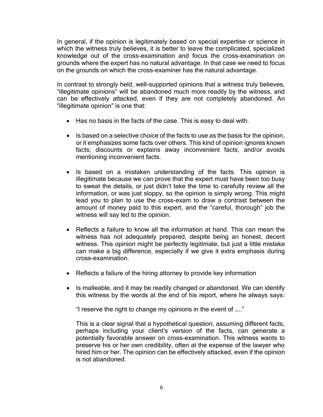In general, if the opinion is legitimately based on special expertise or science in which the witness truly believes, it is better to leave the complicated, specialized knowledge out of the cross-examination and focus the cross-examination on grounds where the expert has no natural advantage. In that case we need to focus on the grounds on which the cross-examiner has the natural advantage.

In contrast to strongly held, well-supported opinions that a witness truly believes, "illegitimate opinions" will be abandoned much more readily by the witness, and can be effectively attacked, even if they are not completely abandoned. An "illegitimate opinion" is one that:

- Has no basis in the facts of the case. This is easy to deal with.
- Is based on a selective choice of the facts to use as the basis for the opinion, or it emphasizes some facts over others. This kind of opinion ignores known facts; discounts or explains away inconvenient facts, and/or avoids mentioning inconvenient facts.
- Is based on a mistaken understanding of the facts. This opinion is illegitimate because we can prove that the expert must have been too busy to sweat the details, or just didn't take the time to carefully review all the information, or was just sloppy, so the opinion is simply wrong. This might lead you to plan to use the cross-exam to draw a contrast between the amount of money paid to this expert, and the "careful, thorough" job the witness will say led to the opinion.
- Reflects a failure to know all the information at hand. This can mean the witness has not adequately prepared, despite being an honest, decent witness. This opinion might be perfectly legitimate, but just a little mistake can make a big difference, especially if we give it extra emphasis during cross-examination.
- Reflects a failure of the hiring attorney to provide key information
- Is malleable, and it may be readily changed or abandoned. We can identify this witness by the words at the end of his report, where he always says:

"I reserve the right to change my opinions in the event of ….."

This is a clear signal that a hypothetical question, assuming different facts, perhaps including your client's version of the facts, can generate a potentially favorable answer on cross-examination. This witness wants to preserve his or her own credibility, often at the expense of the lawyer who hired him or her. The opinion can be effectively attacked, even if the opinion is not abandoned.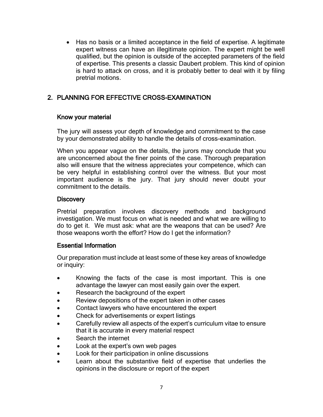• Has no basis or a limited acceptance in the field of expertise. A legitimate expert witness can have an illegitimate opinion. The expert might be well qualified, but the opinion is outside of the accepted parameters of the field of expertise. This presents a classic Daubert problem. This kind of opinion is hard to attack on cross, and it is probably better to deal with it by filing pretrial motions.

# 2. PLANNING FOR EFFECTIVE CROSS-EXAMINATION

#### Know your material

The jury will assess your depth of knowledge and commitment to the case by your demonstrated ability to handle the details of cross-examination.

When you appear vague on the details, the jurors may conclude that you are unconcerned about the finer points of the case. Thorough preparation also will ensure that the witness appreciates your competence, which can be very helpful in establishing control over the witness. But your most important audience is the jury. That jury should never doubt your commitment to the details.

#### **Discovery**

Pretrial preparation involves discovery methods and background investigation. We must focus on what is needed and what we are willing to do to get it. We must ask: what are the weapons that can be used? Are those weapons worth the effort? How do I get the information?

#### Essential Information

Our preparation must include at least some of these key areas of knowledge or inquiry:

- Knowing the facts of the case is most important. This is one advantage the lawyer can most easily gain over the expert.
- Research the background of the expert
- Review depositions of the expert taken in other cases
- Contact lawyers who have encountered the expert
- Check for advertisements or expert listings
- Carefully review all aspects of the expert's curriculum vitae to ensure that it is accurate in every material respect
- Search the internet
- Look at the expert's own web pages
- Look for their participation in online discussions
- Learn about the substantive field of expertise that underlies the opinions in the disclosure or report of the expert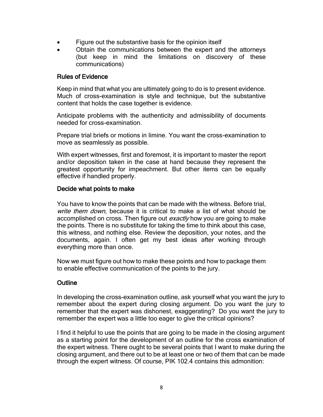- Figure out the substantive basis for the opinion itself
- Obtain the communications between the expert and the attorneys (but keep in mind the limitations on discovery of these communications)

#### Rules of Evidence

Keep in mind that what you are ultimately going to do is to present evidence. Much of cross-examination is style and technique, but the substantive content that holds the case together is evidence.

Anticipate problems with the authenticity and admissibility of documents needed for cross-examination.

Prepare trial briefs or motions in limine. You want the cross-examination to move as seamlessly as possible.

With expert witnesses, first and foremost, it is important to master the report and/or deposition taken in the case at hand because they represent the greatest opportunity for impeachment. But other items can be equally effective if handled properly.

#### Decide what points to make

You have to know the points that can be made with the witness. Before trial, write them down, because it is critical to make a list of what should be accomplished on cross. Then figure out exactly how you are going to make the points. There is no substitute for taking the time to think about this case, this witness, and nothing else. Review the deposition, your notes, and the documents, again. I often get my best ideas after working through everything more than once.

Now we must figure out how to make these points and how to package them to enable effective communication of the points to the jury.

#### **Outline**

In developing the cross-examination outline, ask yourself what you want the jury to remember about the expert during closing argument. Do you want the jury to remember that the expert was dishonest, exaggerating? Do you want the jury to remember the expert was a little too eager to give the critical opinions?

I find it helpful to use the points that are going to be made in the closing argument as a starting point for the development of an outline for the cross examination of the expert witness. There ought to be several points that I want to make during the closing argument, and there out to be at least one or two of them that can be made through the expert witness. Of course, PIK 102.4 contains this admonition: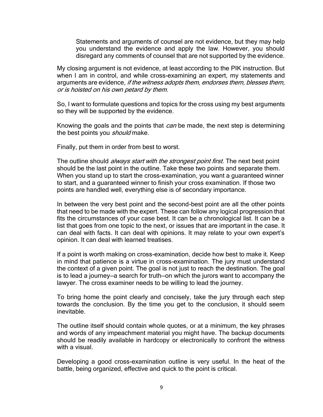Statements and arguments of counsel are not evidence, but they may help you understand the evidence and apply the law. However, you should disregard any comments of counsel that are not supported by the evidence.

My closing argument is not evidence, at least according to the PIK instruction. But when I am in control, and while cross-examining an expert, my statements and arguments are evidence, if the witness adopts them, endorses them, blesses them, or is hoisted on his own petard by them.

So, I want to formulate questions and topics for the cross using my best arguments so they will be supported by the evidence.

Knowing the goals and the points that *can* be made, the next step is determining the best points you *should* make.

Finally, put them in order from best to worst.

The outline should *always start with the strongest point first*. The next best point should be the last point in the outline. Take these two points and separate them. When you stand up to start the cross-examination, you want a guaranteed winner to start, and a guaranteed winner to finish your cross examination. If those two points are handled well, everything else is of secondary importance.

In between the very best point and the second-best point are all the other points that need to be made with the expert. These can follow any logical progression that fits the circumstances of your case best. It can be a chronological list. It can be a list that goes from one topic to the next, or issues that are important in the case. It can deal with facts. It can deal with opinions. It may relate to your own expert's opinion. It can deal with learned treatises.

If a point is worth making on cross-examination, decide how best to make it. Keep in mind that patience is a virtue in cross-examination. The jury must understand the context of a given point. The goal is not just to reach the destination. The goal is to lead a journey—a search for truth—on which the jurors want to accompany the lawyer. The cross examiner needs to be willing to lead the journey.

To bring home the point clearly and concisely, take the jury through each step towards the conclusion. By the time you get to the conclusion, it should seem inevitable.

The outline itself should contain whole quotes, or at a minimum, the key phrases and words of any impeachment material you might have. The backup documents should be readily available in hardcopy or electronically to confront the witness with a visual.

Developing a good cross-examination outline is very useful. In the heat of the battle, being organized, effective and quick to the point is critical.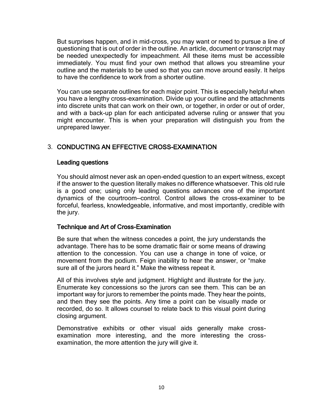But surprises happen, and in mid-cross, you may want or need to pursue a line of questioning that is out of order in the outline. An article, document or transcript may be needed unexpectedly for impeachment. All these items must be accessible immediately. You must find your own method that allows you streamline your outline and the materials to be used so that you can move around easily. It helps to have the confidence to work from a shorter outline.

You can use separate outlines for each major point. This is especially helpful when you have a lengthy cross-examination. Divide up your outline and the attachments into discrete units that can work on their own, or together, in order or out of order, and with a back-up plan for each anticipated adverse ruling or answer that you might encounter. This is when your preparation will distinguish you from the unprepared lawyer.

## 3. CONDUCTING AN EFFECTIVE CROSS-EXAMINATION

#### Leading questions

You should almost never ask an open-ended question to an expert witness, except if the answer to the question literally makes no difference whatsoever. This old rule is a good one; using only leading questions advances one of the important dynamics of the courtroom—control. Control allows the cross-examiner to be forceful, fearless, knowledgeable, informative, and most importantly, credible with the jury.

#### Technique and Art of Cross-Examination

Be sure that when the witness concedes a point, the jury understands the advantage. There has to be some dramatic flair or some means of drawing attention to the concession. You can use a change in tone of voice, or movement from the podium. Feign inability to hear the answer, or "make sure all of the jurors heard it." Make the witness repeat it.

All of this involves style and judgment. Highlight and illustrate for the jury. Enumerate key concessions so the jurors can see them. This can be an important way for jurors to remember the points made. They hear the points, and then they see the points. Any time a point can be visually made or recorded, do so. It allows counsel to relate back to this visual point during closing argument.

Demonstrative exhibits or other visual aids generally make crossexamination more interesting, and the more interesting the crossexamination, the more attention the jury will give it.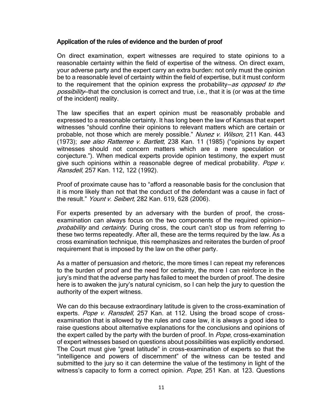#### Application of the rules of evidence and the burden of proof

On direct examination, expert witnesses are required to state opinions to a reasonable certainty within the field of expertise of the witness. On direct exam, your adverse party and the expert carry an extra burden: not only must the opinion be to a reasonable level of certainty within the field of expertise, but it must conform to the requirement that the opinion express the probability–as opposed to the possibility—that the conclusion is correct and true, i.e., that it is (or was at the time of the incident) reality.

The law specifies that an expert opinion must be reasonably probable and expressed to a reasonable certainty. It has long been the law of Kansas that expert witnesses "should confine their opinions to relevant matters which are certain or probable, not those which are merely possible." Nunez v. Wilson, 211 Kan. 443 (1973); see also Ratterree v. Bartlett, 238 Kan. 11 (1985) ("opinions by expert witnesses should not concern matters which are a mere speculation or conjecture."). When medical experts provide opinion testimony, the expert must give such opinions within a reasonable degree of medical probability. Pope v. Ransdell, 257 Kan. 112, 122 (1992).

Proof of proximate cause has to "afford a reasonable basis for the conclusion that it is more likely than not that the conduct of the defendant was a cause in fact of the result." Yount v. Seibert, 282 Kan. 619, 628 (2006).

For experts presented by an adversary with the burden of proof, the crossexamination can always focus on the two components of the required opinion probability and certainty. During cross, the court can't stop us from referring to these two terms repeatedly. After all, these are the terms required by the law. As a cross examination technique, this reemphasizes and reiterates the burden of proof requirement that is imposed by the law on the other party.

As a matter of persuasion and rhetoric, the more times I can repeat my references to the burden of proof and the need for certainty, the more I can reinforce in the jury's mind that the adverse party has failed to meet the burden of proof. The desire here is to awaken the jury's natural cynicism, so I can help the jury to question the authority of the expert witness.

We can do this because extraordinary latitude is given to the cross-examination of experts. Pope v. Ransdell, 257 Kan. at 112. Using the broad scope of crossexamination that is allowed by the rules and case law, it is always a good idea to raise questions about alternative explanations for the conclusions and opinions of the expert called by the party with the burden of proof. In Pope, cross-examination of expert witnesses based on questions about possibilities was explicitly endorsed. The Court must give "great latitude" in cross-examination of experts so that the "intelligence and powers of discernment" of the witness can be tested and submitted to the jury so it can determine the value of the testimony in light of the witness's capacity to form a correct opinion. Pope, 251 Kan. at 123. Questions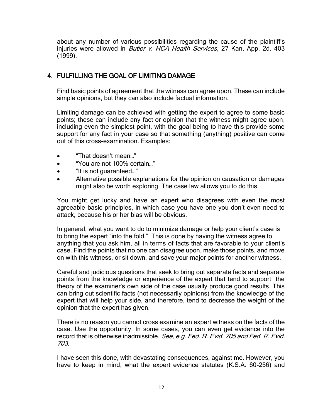about any number of various possibilities regarding the cause of the plaintiff's injuries were allowed in *Butler v. HCA Health Services*, 27 Kan. App. 2d. 403 (1999).

### 4. FULFILLING THE GOAL OF LIMITING DAMAGE

Find basic points of agreement that the witness can agree upon. These can include simple opinions, but they can also include factual information.

Limiting damage can be achieved with getting the expert to agree to some basic points; these can include any fact or opinion that the witness might agree upon, including even the simplest point, with the goal being to have this provide some support for any fact in your case so that something (anything) positive can come out of this cross-examination. Examples:

- "That doesn't mean…"
- "You are not 100% certain…"
- "It is not guaranteed…"
- Alternative possible explanations for the opinion on causation or damages might also be worth exploring. The case law allows you to do this.

You might get lucky and have an expert who disagrees with even the most agreeable basic principles, in which case you have one you don't even need to attack, because his or her bias will be obvious.

In general, what you want to do to minimize damage or help your client's case is to bring the expert "into the fold." This is done by having the witness agree to anything that you ask him, all in terms of facts that are favorable to your client's case. Find the points that no one can disagree upon, make those points, and move on with this witness, or sit down, and save your major points for another witness.

Careful and judicious questions that seek to bring out separate facts and separate points from the knowledge or experience of the expert that tend to support the theory of the examiner's own side of the case usually produce good results. This can bring out scientific facts (not necessarily opinions) from the knowledge of the expert that will help your side, and therefore, tend to decrease the weight of the opinion that the expert has given.

There is no reason you cannot cross examine an expert witness on the facts of the case. Use the opportunity. In some cases, you can even get evidence into the record that is otherwise inadmissible. See, e.g. Fed. R. Evid. 705 and Fed. R. Evid. 703.

I have seen this done, with devastating consequences, against me. However, you have to keep in mind, what the expert evidence statutes (K.S.A. 60-256) and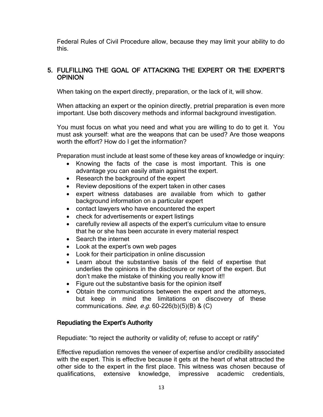Federal Rules of Civil Procedure allow, because they may limit your ability to do this.

#### 5. FULFILLING THE GOAL OF ATTACKING THE EXPERT OR THE EXPERT'S **OPINION**

When taking on the expert directly, preparation, or the lack of it, will show.

When attacking an expert or the opinion directly, pretrial preparation is even more important. Use both discovery methods and informal background investigation.

You must focus on what you need and what you are willing to do to get it. You must ask yourself: what are the weapons that can be used? Are those weapons worth the effort? How do I get the information?

Preparation must include at least some of these key areas of knowledge or inquiry:

- Knowing the facts of the case is most important. This is one advantage you can easily attain against the expert.
- Research the background of the expert
- Review depositions of the expert taken in other cases
- expert witness databases are available from which to gather background information on a particular expert
- contact lawyers who have encountered the expert
- check for advertisements or expert listings
- carefully review all aspects of the expert's curriculum vitae to ensure that he or she has been accurate in every material respect
- Search the internet
- Look at the expert's own web pages
- Look for their participation in online discussion
- Learn about the substantive basis of the field of expertise that underlies the opinions in the disclosure or report of the expert. But don't make the mistake of thinking you really know it!!
- Figure out the substantive basis for the opinion itself
- Obtain the communications between the expert and the attorneys, but keep in mind the limitations on discovery of these communications. See, e.g.  $60-226(b)(5)(B)$  & (C)

#### Repudiating the Expert's Authority

Repudiate: "to reject the authority or validity of; refuse to accept or ratify"

Effective repudiation removes the veneer of expertise and/or credibility associated with the expert. This is effective because it gets at the heart of what attracted the other side to the expert in the first place. This witness was chosen because of qualifications, extensive knowledge, impressive academic credentials,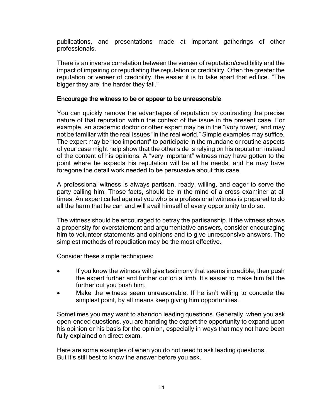publications, and presentations made at important gatherings of other professionals.

There is an inverse correlation between the veneer of reputation/credibility and the impact of impairing or repudiating the reputation or credibility. Often the greater the reputation or veneer of credibility, the easier it is to take apart that edifice. "The bigger they are, the harder they fall."

#### Encourage the witness to be or appear to be unreasonable

You can quickly remove the advantages of reputation by contrasting the precise nature of that reputation within the context of the issue in the present case. For example, an academic doctor or other expert may be in the "ivory tower,' and may not be familiar with the real issues "in the real world." Simple examples may suffice. The expert may be "too important" to participate in the mundane or routine aspects of your case might help show that the other side is relying on his reputation instead of the content of his opinions. A "very important" witness may have gotten to the point where he expects his reputation will be all he needs, and he may have foregone the detail work needed to be persuasive about this case.

A professional witness is always partisan, ready, willing, and eager to serve the party calling him. Those facts, should be in the mind of a cross examiner at all times. An expert called against you who is a professional witness is prepared to do all the harm that he can and will avail himself of every opportunity to do so.

The witness should be encouraged to betray the partisanship. If the witness shows a propensity for overstatement and argumentative answers, consider encouraging him to volunteer statements and opinions and to give unresponsive answers. The simplest methods of repudiation may be the most effective.

Consider these simple techniques:

- If you know the witness will give testimony that seems incredible, then push the expert further and further out on a limb. It's easier to make him fall the further out you push him.
- Make the witness seem unreasonable. If he isn't willing to concede the simplest point, by all means keep giving him opportunities.

Sometimes you may want to abandon leading questions. Generally, when you ask open-ended questions, you are handing the expert the opportunity to expand upon his opinion or his basis for the opinion, especially in ways that may not have been fully explained on direct exam.

Here are some examples of when you do not need to ask leading questions. But it's still best to know the answer before you ask.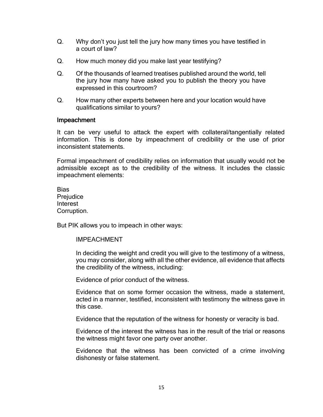- Q. Why don't you just tell the jury how many times you have testified in a court of law?
- Q. How much money did you make last year testifying?
- Q. Of the thousands of learned treatises published around the world, tell the jury how many have asked you to publish the theory you have expressed in this courtroom?
- Q. How many other experts between here and your location would have qualifications similar to yours?

#### Impeachment

It can be very useful to attack the expert with collateral/tangentially related information. This is done by impeachment of credibility or the use of prior inconsistent statements.

Formal impeachment of credibility relies on information that usually would not be admissible except as to the credibility of the witness. It includes the classic impeachment elements:

Bias **Prejudice** Interest Corruption.

But PIK allows you to impeach in other ways:

IMPEACHMENT

In deciding the weight and credit you will give to the testimony of a witness, you may consider, along with all the other evidence, all evidence that affects the credibility of the witness, including:

Evidence of prior conduct of the witness.

Evidence that on some former occasion the witness, made a statement, acted in a manner, testified, inconsistent with testimony the witness gave in this case.

Evidence that the reputation of the witness for honesty or veracity is bad.

Evidence of the interest the witness has in the result of the trial or reasons the witness might favor one party over another.

Evidence that the witness has been convicted of a crime involving dishonesty or false statement.